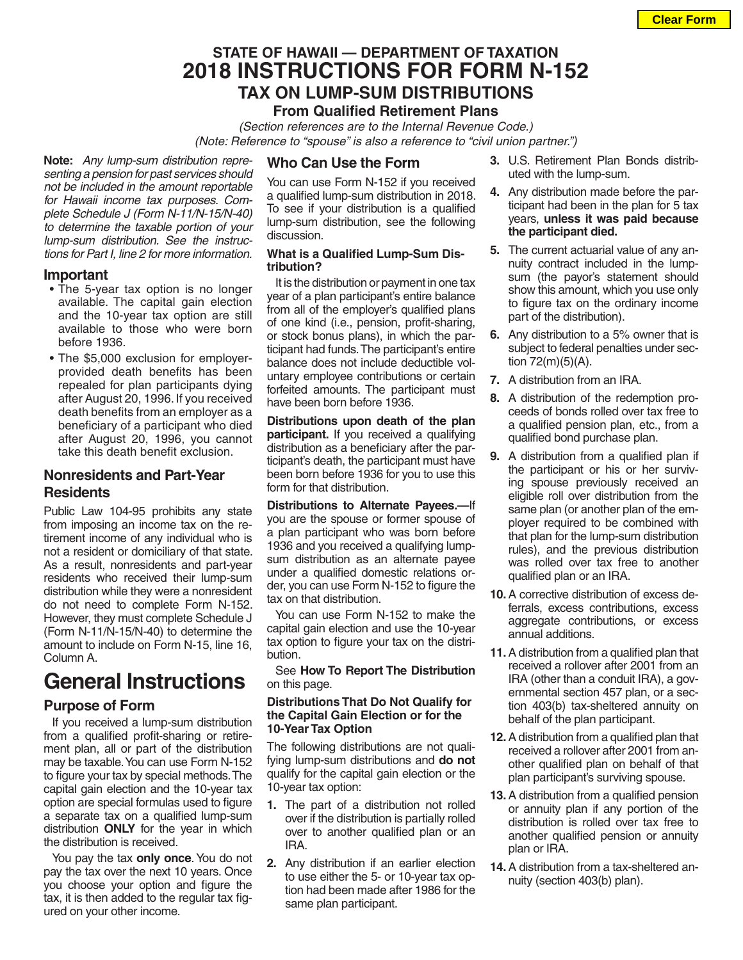# **STATE OF HAWAII — DEPARTMENT OF TAXATION 2018 INSTRUCTIONS FOR FORM N-152 TAX ON LUMP-SUM DISTRIBUTIONS**

# **From Qualified Retirement Plans**

*(Section references are to the Internal Revenue Code.)* *(Note: Reference to "spouse" is also a reference to "civil union partner.")*

**Note:** *Any lump-sum distribution representing a pension for past services should not be included in the amount reportable for Hawaii income tax purposes. Complete Schedule J (Form N-11/N-15/N-40) to determine the taxable portion of your lump-sum distribution. See the instructions for Part I, line 2 for more information.*

### **Important**

- The 5-year tax option is no longer available. The capital gain election and the 10-year tax option are still available to those who were born before 1936.
- The \$5,000 exclusion for employerprovided death benefits has been repealed for plan participants dying after August 20, 1996. If you received death benefits from an employer as a beneficiary of a participant who died after August 20, 1996, you cannot take this death benefit exclusion.

## **Nonresidents and Part-Year Residents**

Public Law 104-95 prohibits any state from imposing an income tax on the retirement income of any individual who is not a resident or domiciliary of that state. As a result, nonresidents and part-year residents who received their lump-sum distribution while they were a nonresident do not need to complete Form N-152. However, they must complete Schedule J (Form N-11/N-15/N-40) to determine the amount to include on Form N-15, line 16, Column A.

# **General Instructions**

# **Purpose of Form**

If you received a lump-sum distribution from a qualified profit-sharing or retirement plan, all or part of the distribution may be taxable. You can use Form N-152 to figure your tax by special methods. The capital gain election and the 10-year tax option are special formulas used to figure a separate tax on a qualified lump-sum distribution **ONLY** for the year in which the distribution is received.

You pay the tax **only once**. You do not pay the tax over the next 10 years. Once you choose your option and figure the tax, it is then added to the regular tax figured on your other income.

### **Who Can Use the Form**

You can use Form N-152 if you received a qualified lump-sum distribution in 2018. To see if your distribution is a qualified lump-sum distribution, see the following discussion.

### **What is a Qualified Lump-Sum Distribution?**

It is the distribution or payment in one tax year of a plan participant's entire balance from all of the employer's qualified plans of one kind (i.e., pension, profit-sharing, or stock bonus plans), in which the participant had funds. The participant's entire balance does not include deductible voluntary employee contributions or certain forfeited amounts. The participant must have been born before 1936.

**Distributions upon death of the plan participant.** If you received a qualifying distribution as a beneficiary after the participant's death, the participant must have been born before 1936 for you to use this form for that distribution.

**Distributions to Alternate Payees.—**If you are the spouse or former spouse of a plan participant who was born before 1936 and you received a qualifying lumpsum distribution as an alternate payee under a qualified domestic relations order, you can use Form N-152 to figure the tax on that distribution.

You can use Form N-152 to make the capital gain election and use the 10-year tax option to figure your tax on the distribution.

See **How To Report The Distribution** on this page.

### **Distributions That Do Not Qualify for the Capital Gain Election or for the 10-Year Tax Option**

The following distributions are not qualifying lump-sum distributions and **do not** qualify for the capital gain election or the 10-year tax option:

- **1.** The part of a distribution not rolled over if the distribution is partially rolled over to another qualified plan or an IRA.
- **2.** Any distribution if an earlier election to use either the 5- or 10-year tax option had been made after 1986 for the same plan participant.
- **3.** U.S. Retirement Plan Bonds distributed with the lump-sum.
- **4.** Any distribution made before the participant had been in the plan for 5 tax years, **unless it was paid because the participant died.**
- **5.** The current actuarial value of any annuity contract included in the lumpsum (the payor's statement should show this amount, which you use only to figure tax on the ordinary income part of the distribution).
- **6.** Any distribution to a 5% owner that is subject to federal penalties under section 72(m)(5)(A).
- **7.** A distribution from an IRA.
- **8.** A distribution of the redemption proceeds of bonds rolled over tax free to a qualified pension plan, etc., from a qualified bond purchase plan.
- **9.** A distribution from a qualified plan if the participant or his or her surviving spouse previously received an eligible roll over distribution from the same plan (or another plan of the employer required to be combined with that plan for the lump-sum distribution rules), and the previous distribution was rolled over tax free to another qualified plan or an IRA.
- **10.**A corrective distribution of excess deferrals, excess contributions, excess aggregate contributions, or excess annual additions.
- **11.**A distribution from a qualified plan that received a rollover after 2001 from an IRA (other than a conduit IRA), a governmental section 457 plan, or a section 403(b) tax-sheltered annuity on behalf of the plan participant.
- **12.**A distribution from a qualified plan that received a rollover after 2001 from another qualified plan on behalf of that plan participant's surviving spouse.
- **13.**A distribution from a qualified pension or annuity plan if any portion of the distribution is rolled over tax free to another qualified pension or annuity plan or IRA.
- **14.**A distribution from a tax-sheltered annuity (section 403(b) plan).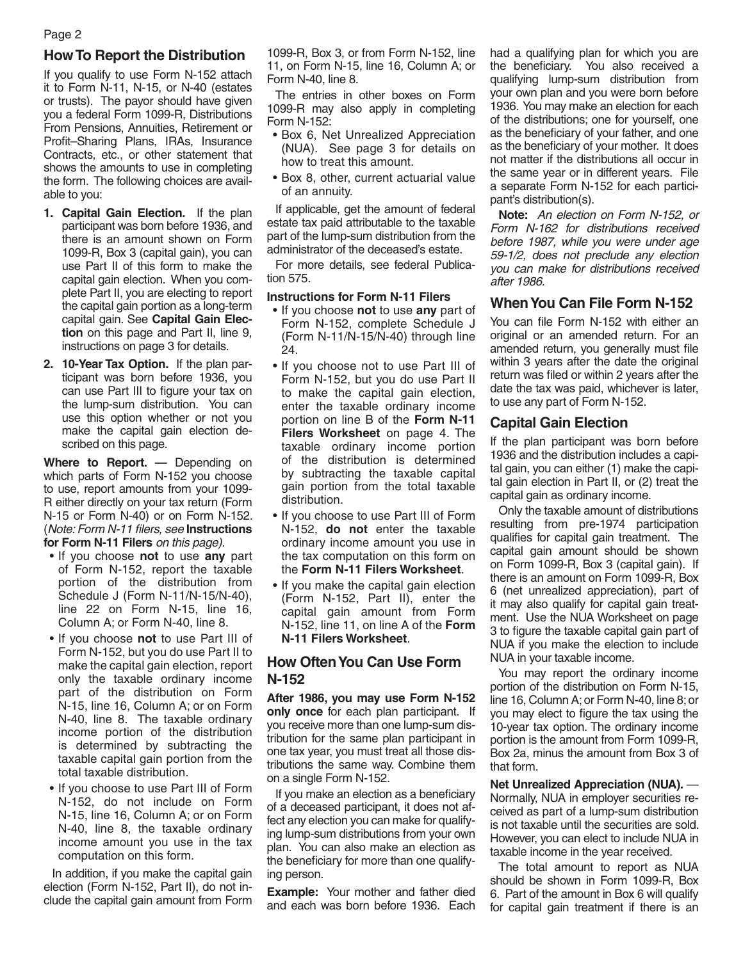# **How To Report the Distribution**

If you qualify to use Form N-152 attach it to Form N-11, N-15, or N-40 (estates or trusts). The payor should have given you a federal Form 1099-R, Distributions From Pensions, Annuities, Retirement or Profit–Sharing Plans, IRAs, Insurance Contracts, etc., or other statement that shows the amounts to use in completing the form. The following choices are available to you:

- **1. Capital Gain Election.** If the plan participant was born before 1936, and there is an amount shown on Form 1099-R, Box 3 (capital gain), you can use Part II of this form to make the capital gain election. When you complete Part II, you are electing to report the capital gain portion as a long-term capital gain. See **Capital Gain Election** on this page and Part II, line 9, instructions on page 3 for details.
- **2. 10-Year Tax Option.** If the plan participant was born before 1936, you can use Part III to figure your tax on the lump-sum distribution. You can use this option whether or not you make the capital gain election described on this page.

**Where to Report. —** Depending on which parts of Form N-152 you choose to use, report amounts from your 1099- R either directly on your tax return (Form N-15 or Form N-40) or on Form N-152. (*Note: Form N-11 filers, see* **Instructions for Form N-11 Filers** *on this page).*

- If you choose **not** to use **any** part of Form N-152, report the taxable portion of the distribution from Schedule J (Form N-11/N-15/N-40), line 22 on Form N-15, line 16, Column A; or Form N-40, line 8.
- If you choose **not** to use Part III of Form N-152, but you do use Part II to make the capital gain election, report only the taxable ordinary income part of the distribution on Form N-15, line 16, Column A; or on Form N-40, line 8. The taxable ordinary income portion of the distribution is determined by subtracting the taxable capital gain portion from the total taxable distribution.
- If you choose to use Part III of Form N-152, do not include on Form N-15, line 16, Column A; or on Form N-40, line 8, the taxable ordinary income amount you use in the tax computation on this form.

In addition, if you make the capital gain election (Form N-152, Part II), do not include the capital gain amount from Form

1099-R, Box 3, or from Form N-152, line 11, on Form N-15, line 16, Column A; or Form N-40, line 8.

The entries in other boxes on Form 1099-R may also apply in completing Form N-152:

- Box 6, Net Unrealized Appreciation (NUA). See page 3 for details on how to treat this amount.
- Box 8, other, current actuarial value of an annuity.

If applicable, get the amount of federal estate tax paid attributable to the taxable part of the lump-sum distribution from the administrator of the deceased's estate.

For more details, see federal Publication 575.

### **Instructions for Form N-11 Filers**

- If you choose **not** to use **any** part of Form N-152, complete Schedule J (Form N-11/N-15/N-40) through line 24.
- If you choose not to use Part III of Form N-152, but you do use Part II to make the capital gain election, enter the taxable ordinary income portion on line B of the **Form N-11 Filers Worksheet** on page 4. The taxable ordinary income portion of the distribution is determined by subtracting the taxable capital gain portion from the total taxable distribution.
- If you choose to use Part III of Form N-152, **do not** enter the taxable ordinary income amount you use in the tax computation on this form on the **Form N-11 Filers Worksheet**.
- If you make the capital gain election (Form N-152, Part II), enter the capital gain amount from Form N-152, line 11, on line A of the **Form N-11 Filers Worksheet**.

## **How Often You Can Use Form N-152**

**After 1986, you may use Form N-152 only once** for each plan participant. If you receive more than one lump-sum distribution for the same plan participant in one tax year, you must treat all those distributions the same way. Combine them on a single Form N-152.

If you make an election as a beneficiary of a deceased participant, it does not affect any election you can make for qualifying lump-sum distributions from your own plan. You can also make an election as the beneficiary for more than one qualifying person.

**Example:** Your mother and father died and each was born before 1936. Each had a qualifying plan for which you are the beneficiary. You also received a qualifying lump-sum distribution from your own plan and you were born before 1936. You may make an election for each of the distributions; one for yourself, one as the beneficiary of your father, and one as the beneficiary of your mother. It does not matter if the distributions all occur in the same year or in different years. File a separate Form N-152 for each participant's distribution(s).

**Note:** *An election on Form N-152, or Form N-162 for distributions received before 1987, while you were under age 59-1/2, does not preclude any election you can make for distributions received after 1986.*

# **When You Can File Form N-152**

You can file Form N-152 with either an original or an amended return. For an amended return, you generally must file within 3 years after the date the original return was filed or within 2 years after the date the tax was paid, whichever is later, to use any part of Form N-152.

## **Capital Gain Election**

If the plan participant was born before 1936 and the distribution includes a capital gain, you can either (1) make the capital gain election in Part II, or (2) treat the capital gain as ordinary income.

Only the taxable amount of distributions resulting from pre-1974 participation qualifies for capital gain treatment. The capital gain amount should be shown on Form 1099-R, Box 3 (capital gain). If there is an amount on Form 1099-R, Box 6 (net unrealized appreciation), part of it may also qualify for capital gain treatment. Use the NUA Worksheet on page 3 to figure the taxable capital gain part of NUA if you make the election to include NUA in your taxable income.

You may report the ordinary income portion of the distribution on Form N-15, line 16, Column A; or Form N-40, line 8; or you may elect to figure the tax using the 10-year tax option. The ordinary income portion is the amount from Form 1099-R, Box 2a, minus the amount from Box 3 of that form.

**Net Unrealized Appreciation (NUA).** — Normally, NUA in employer securities received as part of a lump-sum distribution is not taxable until the securities are sold. However, you can elect to include NUA in taxable income in the year received.

The total amount to report as NUA should be shown in Form 1099-R, Box 6. Part of the amount in Box 6 will qualify for capital gain treatment if there is an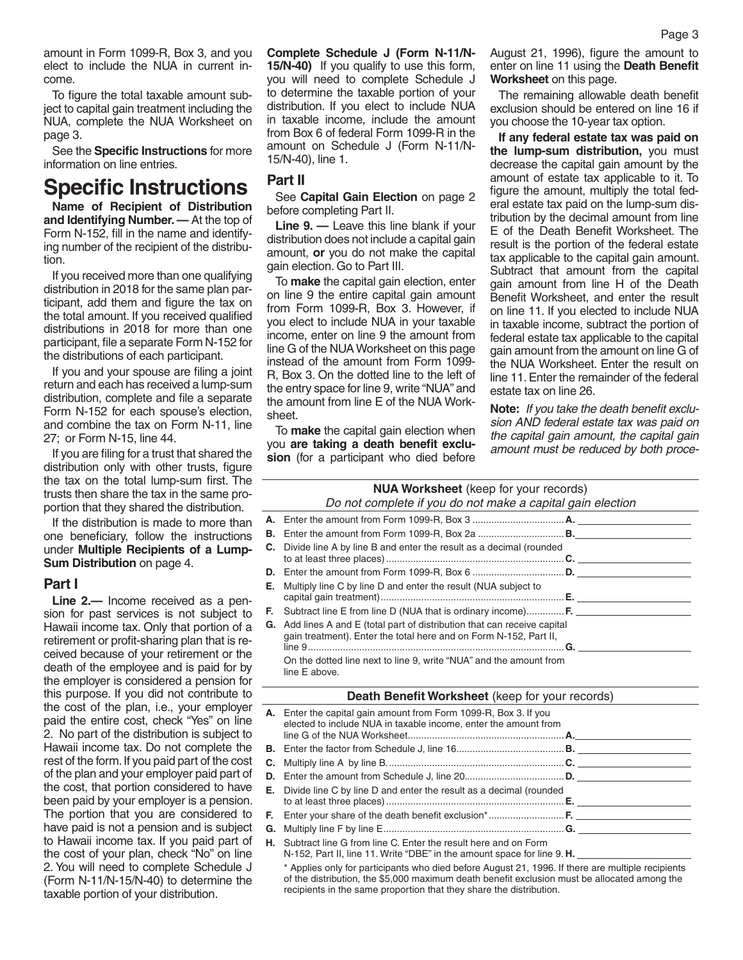amount in Form 1099-R, Box 3, and you elect to include the NUA in current income.

To figure the total taxable amount subject to capital gain treatment including the NUA, complete the NUA Worksheet on page 3.

See the **Specific Instructions** for more information on line entries.

# **Specific Instructions**

**Name of Recipient of Distribution and Identifying Number. —** At the top of Form N-152, fill in the name and identifying number of the recipient of the distribution.

If you received more than one qualifying distribution in 2018 for the same plan participant, add them and figure the tax on the total amount. If you received qualified distributions in 2018 for more than one participant, file a separate Form N-152 for the distributions of each participant.

If you and your spouse are filing a joint return and each has received a lump-sum distribution, complete and file a separate Form N-152 for each spouse's election, and combine the tax on Form N-11, line 27; or Form N-15, line 44.

If you are filing for a trust that shared the distribution only with other trusts, figure the tax on the total lump-sum first. The trusts then share the tax in the same proportion that they shared the distribution.

If the distribution is made to more than one beneficiary, follow the instructions under **Multiple Recipients of a Lump-Sum Distribution** on page 4.

#### **Part I**

**Line 2.—** Income received as a pension for past services is not subject to Hawaii income tax. Only that portion of a retirement or profit-sharing plan that is received because of your retirement or the death of the employee and is paid for by the employer is considered a pension for this purpose. If you did not contribute to the cost of the plan, i.e., your employer paid the entire cost, check "Yes" on line 2. No part of the distribution is subject to Hawaii income tax. Do not complete the rest of the form. If you paid part of the cost of the plan and your employer paid part of the cost, that portion considered to have been paid by your employer is a pension. The portion that you are considered to have paid is not a pension and is subject to Hawaii income tax. If you paid part of the cost of your plan, check "No" on line 2. You will need to complete Schedule J (Form N-11/N-15/N-40) to determine the taxable portion of your distribution.

**Complete Schedule J (Form N-11/N-15/N-40)** If you qualify to use this form, you will need to complete Schedule J to determine the taxable portion of your distribution. If you elect to include NUA in taxable income, include the amount from Box 6 of federal Form 1099-R in the amount on Schedule J (Form N-11/N-15/N-40), line 1.

### **Part II**

See **Capital Gain Election** on page 2 before completing Part II.

**Line 9. —** Leave this line blank if your distribution does not include a capital gain amount, **or** you do not make the capital gain election. Go to Part III.

To **make** the capital gain election, enter on line 9 the entire capital gain amount from Form 1099-R, Box 3. However, if you elect to include NUA in your taxable income, enter on line 9 the amount from line G of the NUA Worksheet on this page instead of the amount from Form 1099- R, Box 3. On the dotted line to the left of the entry space for line 9, write "NUA" and the amount from line E of the NUA Worksheet.

To **make** the capital gain election when you **are taking a death benefit exclusion** (for a participant who died before August 21, 1996), figure the amount to enter on line 11 using the **Death Benefit Worksheet** on this page.

The remaining allowable death benefit exclusion should be entered on line 16 if you choose the 10-year tax option.

**If any federal estate tax was paid on the lump-sum distribution,** you must decrease the capital gain amount by the amount of estate tax applicable to it. To figure the amount, multiply the total federal estate tax paid on the lump-sum distribution by the decimal amount from line E of the Death Benefit Worksheet. The result is the portion of the federal estate tax applicable to the capital gain amount. Subtract that amount from the capital gain amount from line H of the Death Benefit Worksheet, and enter the result on line 11. If you elected to include NUA in taxable income, subtract the portion of federal estate tax applicable to the capital gain amount from the amount on line G of the NUA Worksheet. Enter the result on line 11. Enter the remainder of the federal estate tax on line 26.

**Note:** *If you take the death benefit exclusion AND federal estate tax was paid on the capital gain amount, the capital gain amount must be reduced by both proce-*

# **NUA Worksheet** (keep for your records)

#### *Do not complete if you do not make a capital gain election*

| <b>C.</b> Divide line A by line B and enter the result as a decimal (rounded                                                                                                                                                |
|-----------------------------------------------------------------------------------------------------------------------------------------------------------------------------------------------------------------------------|
|                                                                                                                                                                                                                             |
| <b>E.</b> Multiply line C by line D and enter the result (NUA subject to                                                                                                                                                    |
| <b>F.</b> Subtract line E from line D (NUA that is ordinary income) <b>F.</b>                                                                                                                                               |
| <b>G.</b> Add lines A and E (total part of distribution that can receive capital<br>gain treatment). Enter the total here and on Form N-152, Part II,<br>On the dotted line next to line 9, write "NUA" and the amount from |
| line E above.                                                                                                                                                                                                               |

#### **Death Benefit Worksheet** (keep for your records)

| A. Enter the capital gain amount from Form 1099-R, Box 3. If you<br>elected to include NUA in taxable income, enter the amount from |  |
|-------------------------------------------------------------------------------------------------------------------------------------|--|
|                                                                                                                                     |  |
|                                                                                                                                     |  |
|                                                                                                                                     |  |
| <b>E.</b> Divide line C by line D and enter the result as a decimal (rounded                                                        |  |
|                                                                                                                                     |  |
|                                                                                                                                     |  |
| <b>H.</b> Subtract line G from line C. Enter the result here and on Form                                                            |  |

N-152, Part II, line 11. Write "DBE" in the amount space for line 9. **H.** 

\* Applies only for participants who died before August 21, 1996. If there are multiple recipients of the distribution, the \$5,000 maximum death benefit exclusion must be allocated among the recipients in the same proportion that they share the distribution.